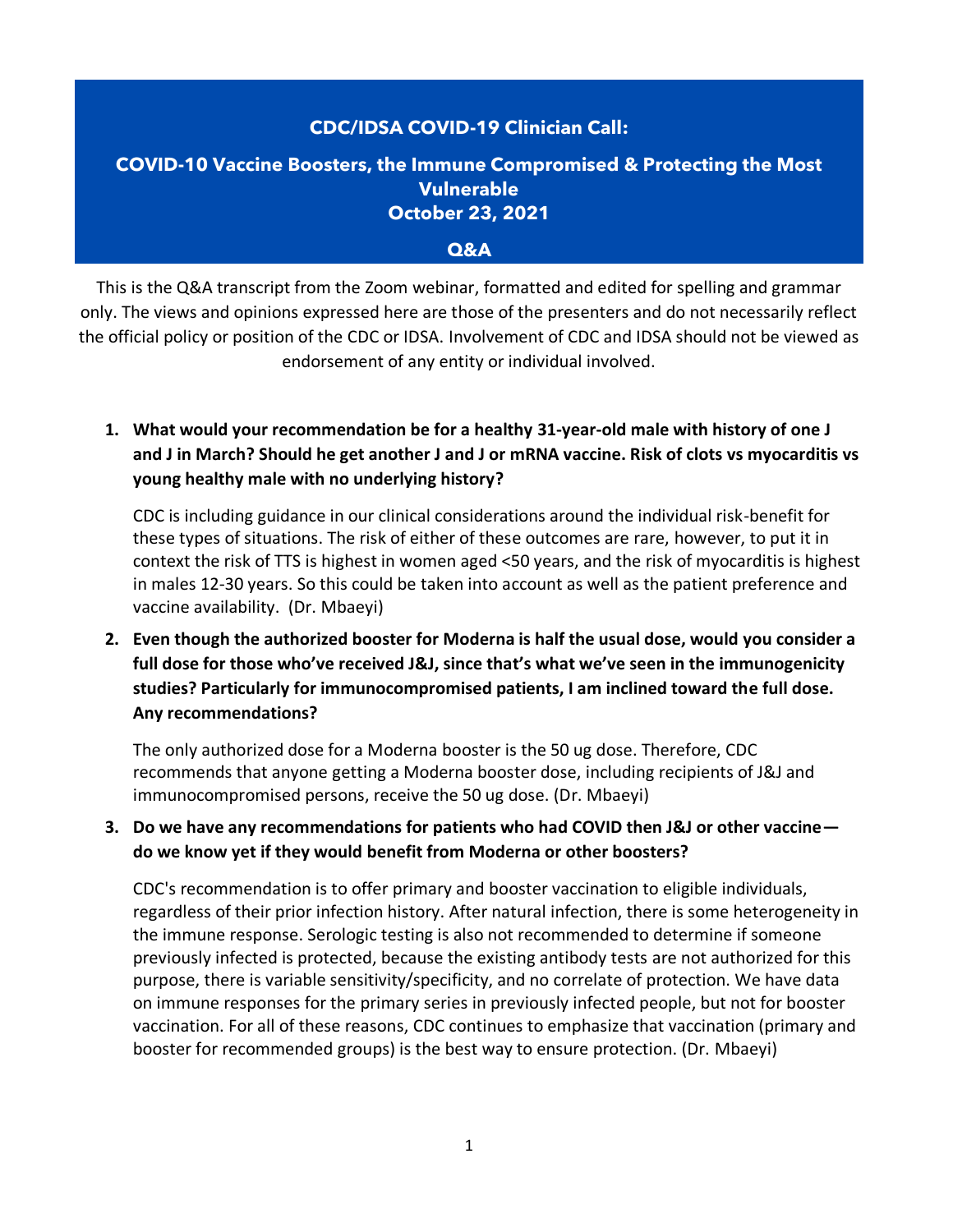# **CDC/IDSA COVID-19 Clinician Call: COVID-10 Vaccine Boosters, the Immune Compromised & Protecting the Most Vulnerable**

**October 23, 2021** 

#### **Q&A**

This is the Q&A transcript from the Zoom webinar, formatted and edited for spelling and grammar only. The views and opinions expressed here are those of the presenters and do not necessarily reflect the official policy or position of the CDC or IDSA. Involvement of CDC and IDSA should not be viewed as endorsement of any entity or individual involved.

# **1. What would your recommendation be for a healthy 31-year-old male with history of one J and J in March? Should he get another J and J or mRNA vaccine. Risk of clots vs myocarditis vs young healthy male with no underlying history?**

CDC is including guidance in our clinical considerations around the individual risk-benefit for these types of situations. The risk of either of these outcomes are rare, however, to put it in context the risk of TTS is highest in women aged <50 years, and the risk of myocarditis is highest in males 12-30 years. So this could be taken into account as well as the patient preference and vaccine availability. (Dr. Mbaeyi)

**2. Even though the authorized booster for Moderna is half the usual dose, would you consider a full dose for those who've received J&J, since that's what we've seen in the immunogenicity studies? Particularly for immunocompromised patients, I am inclined toward the full dose. Any recommendations?**

The only authorized dose for a Moderna booster is the 50 ug dose. Therefore, CDC recommends that anyone getting a Moderna booster dose, including recipients of J&J and immunocompromised persons, receive the 50 ug dose. (Dr. Mbaeyi)

## **3. Do we have any recommendations for patients who had COVID then J&J or other vaccine do we know yet if they would benefit from Moderna or other boosters?**

CDC's recommendation is to offer primary and booster vaccination to eligible individuals, regardless of their prior infection history. After natural infection, there is some heterogeneity in the immune response. Serologic testing is also not recommended to determine if someone previously infected is protected, because the existing antibody tests are not authorized for this purpose, there is variable sensitivity/specificity, and no correlate of protection. We have data on immune responses for the primary series in previously infected people, but not for booster vaccination. For all of these reasons, CDC continues to emphasize that vaccination (primary and booster for recommended groups) is the best way to ensure protection. (Dr. Mbaeyi)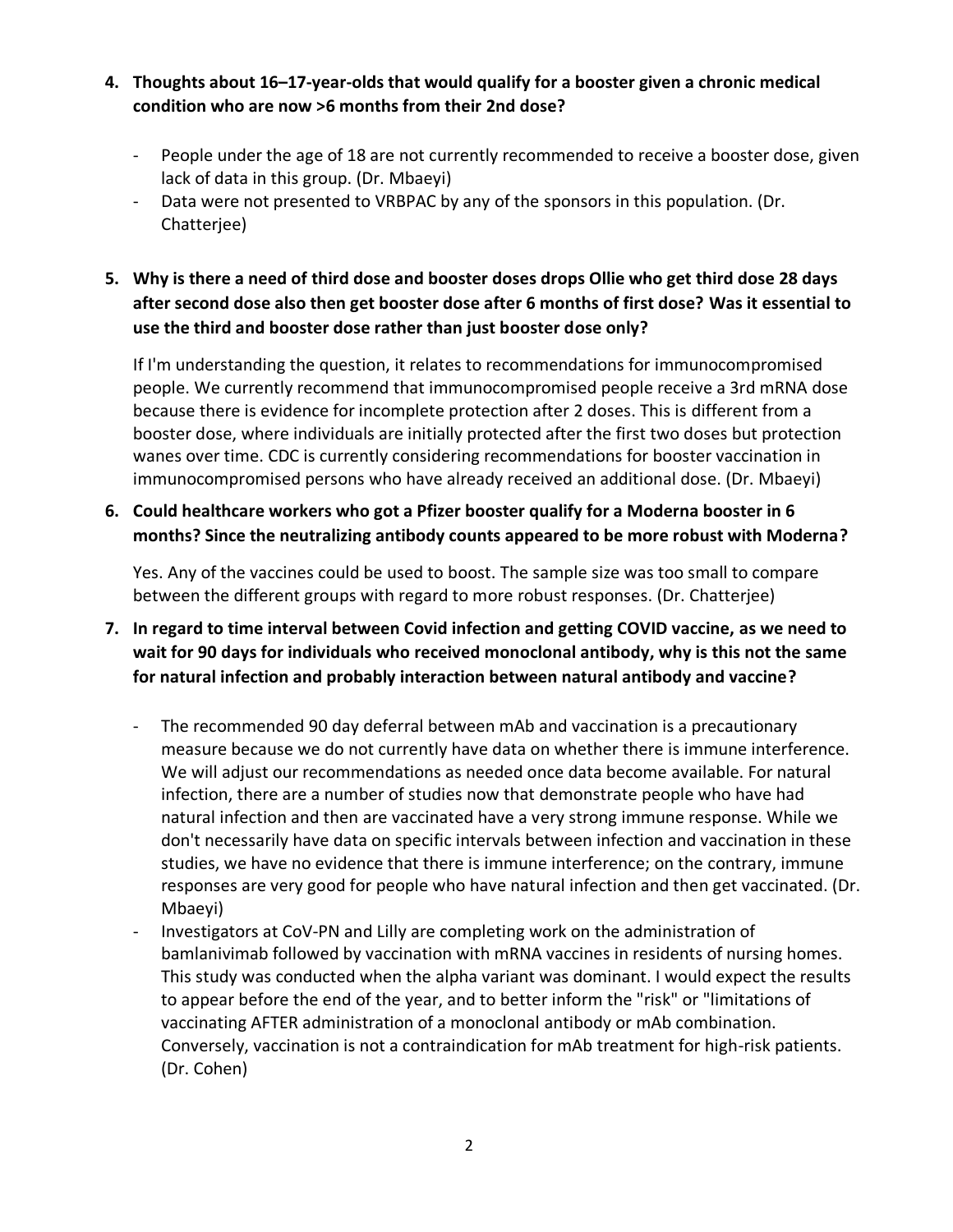- **4. Thoughts about 16–17-year-olds that would qualify for a booster given a chronic medical condition who are now >6 months from their 2nd dose?**
	- People under the age of 18 are not currently recommended to receive a booster dose, given lack of data in this group. (Dr. Mbaeyi)
	- Data were not presented to VRBPAC by any of the sponsors in this population. (Dr. Chatterjee)
- **5. Why is there a need of third dose and booster doses drops Ollie who get third dose 28 days after second dose also then get booster dose after 6 months of first dose? Was it essential to use the third and booster dose rather than just booster dose only?**

If I'm understanding the question, it relates to recommendations for immunocompromised people. We currently recommend that immunocompromised people receive a 3rd mRNA dose because there is evidence for incomplete protection after 2 doses. This is different from a booster dose, where individuals are initially protected after the first two doses but protection wanes over time. CDC is currently considering recommendations for booster vaccination in immunocompromised persons who have already received an additional dose. (Dr. Mbaeyi)

**6. Could healthcare workers who got a Pfizer booster qualify for a Moderna booster in 6 months? Since the neutralizing antibody counts appeared to be more robust with Moderna?**

Yes. Any of the vaccines could be used to boost. The sample size was too small to compare between the different groups with regard to more robust responses. (Dr. Chatterjee)

- **7. In regard to time interval between Covid infection and getting COVID vaccine, as we need to wait for 90 days for individuals who received monoclonal antibody, why is this not the same for natural infection and probably interaction between natural antibody and vaccine?**
	- The recommended 90 day deferral between mAb and vaccination is a precautionary measure because we do not currently have data on whether there is immune interference. We will adjust our recommendations as needed once data become available. For natural infection, there are a number of studies now that demonstrate people who have had natural infection and then are vaccinated have a very strong immune response. While we don't necessarily have data on specific intervals between infection and vaccination in these studies, we have no evidence that there is immune interference; on the contrary, immune responses are very good for people who have natural infection and then get vaccinated. (Dr. Mbaeyi)
	- Investigators at CoV-PN and Lilly are completing work on the administration of bamlanivimab followed by vaccination with mRNA vaccines in residents of nursing homes. This study was conducted when the alpha variant was dominant. I would expect the results to appear before the end of the year, and to better inform the "risk" or "limitations of vaccinating AFTER administration of a monoclonal antibody or mAb combination. Conversely, vaccination is not a contraindication for mAb treatment for high-risk patients. (Dr. Cohen)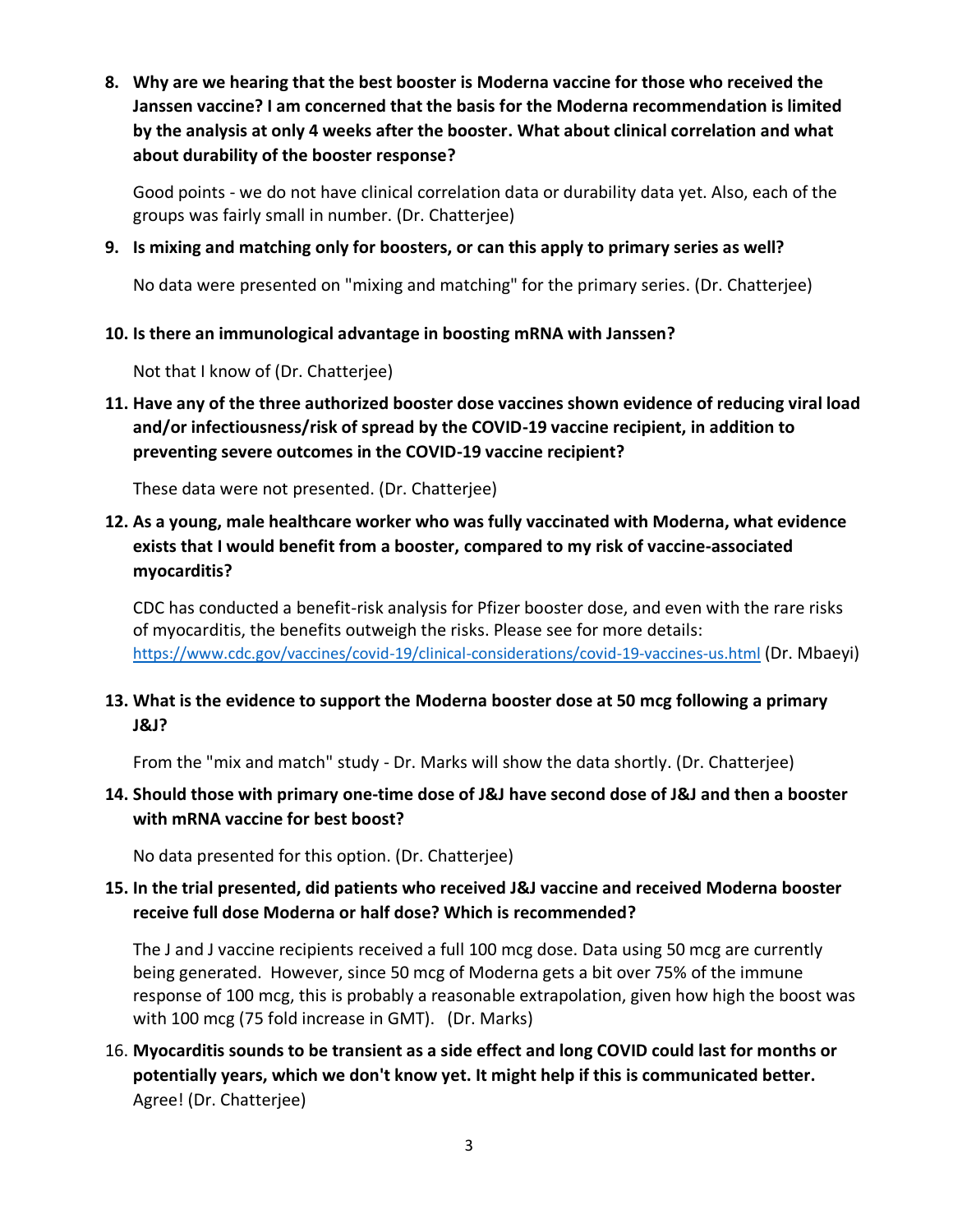**8. Why are we hearing that the best booster is Moderna vaccine for those who received the Janssen vaccine? I am concerned that the basis for the Moderna recommendation is limited by the analysis at only 4 weeks after the booster. What about clinical correlation and what about durability of the booster response?**

Good points - we do not have clinical correlation data or durability data yet. Also, each of the groups was fairly small in number. (Dr. Chatterjee)

**9. Is mixing and matching only for boosters, or can this apply to primary series as well?**

No data were presented on "mixing and matching" for the primary series. (Dr. Chatterjee)

#### **10. Is there an immunological advantage in boosting mRNA with Janssen?**

Not that I know of (Dr. Chatterjee)

**11. Have any of the three authorized booster dose vaccines shown evidence of reducing viral load and/or infectiousness/risk of spread by the COVID-19 vaccine recipient, in addition to preventing severe outcomes in the COVID-19 vaccine recipient?**

These data were not presented. (Dr. Chatterjee)

**12. As a young, male healthcare worker who was fully vaccinated with Moderna, what evidence exists that I would benefit from a booster, compared to my risk of vaccine-associated myocarditis?**

CDC has conducted a benefit-risk analysis for Pfizer booster dose, and even with the rare risks of myocarditis, the benefits outweigh the risks. Please see for more details: <https://www.cdc.gov/vaccines/covid-19/clinical-considerations/covid-19-vaccines-us.html> (Dr. Mbaeyi)

## **13. What is the evidence to support the Moderna booster dose at 50 mcg following a primary J&J?**

From the "mix and match" study - Dr. Marks will show the data shortly. (Dr. Chatterjee)

#### **14. Should those with primary one-time dose of J&J have second dose of J&J and then a booster with mRNA vaccine for best boost?**

No data presented for this option. (Dr. Chatterjee)

#### **15. In the trial presented, did patients who received J&J vaccine and received Moderna booster receive full dose Moderna or half dose? Which is recommended?**

The J and J vaccine recipients received a full 100 mcg dose. Data using 50 mcg are currently being generated. However, since 50 mcg of Moderna gets a bit over 75% of the immune response of 100 mcg, this is probably a reasonable extrapolation, given how high the boost was with 100 mcg (75 fold increase in GMT). (Dr. Marks)

16. **Myocarditis sounds to be transient as a side effect and long COVID could last for months or potentially years, which we don't know yet. It might help if this is communicated better.** Agree! (Dr. Chatterjee)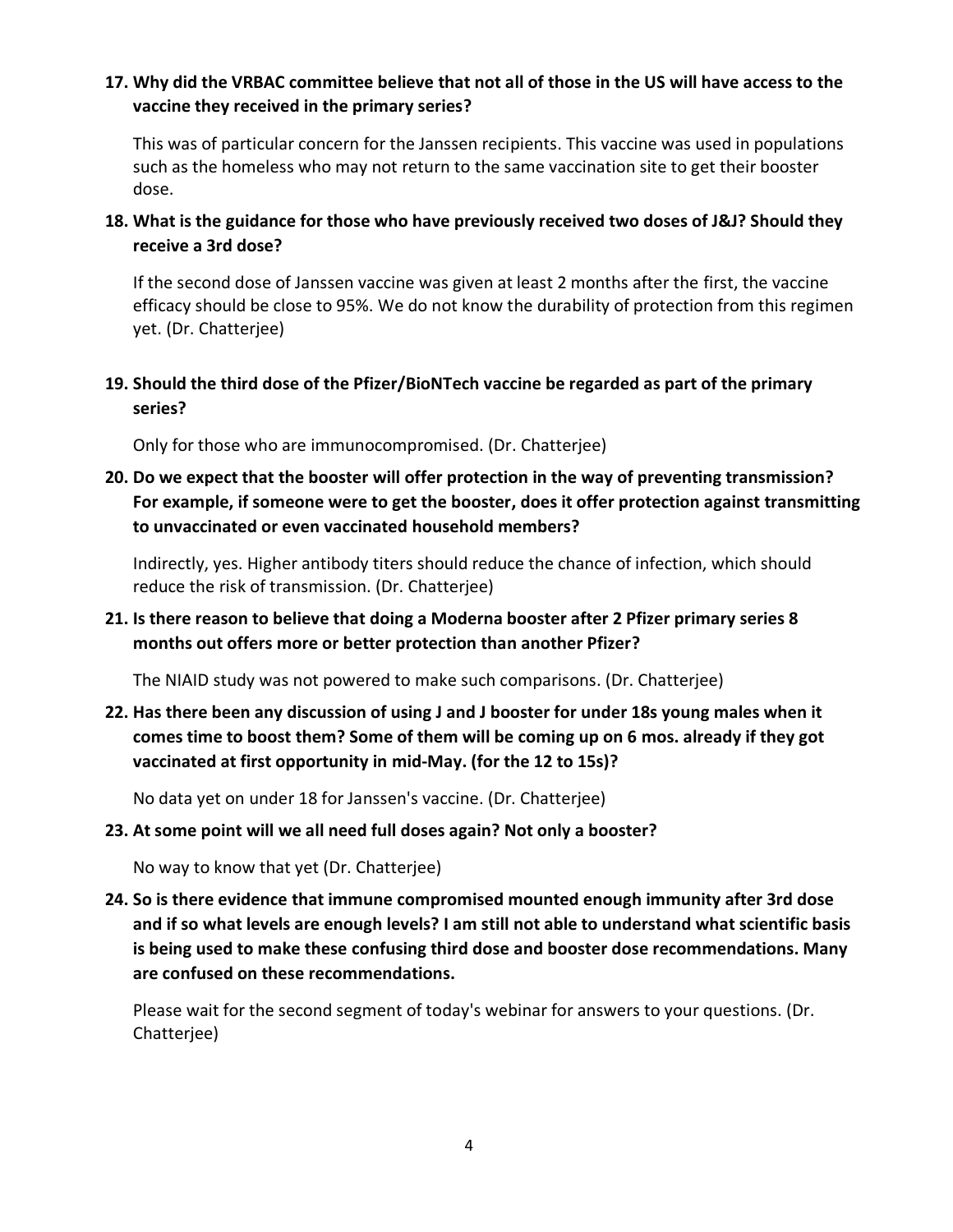#### **17. Why did the VRBAC committee believe that not all of those in the US will have access to the vaccine they received in the primary series?**

This was of particular concern for the Janssen recipients. This vaccine was used in populations such as the homeless who may not return to the same vaccination site to get their booster dose.

**18. What is the guidance for those who have previously received two doses of J&J? Should they receive a 3rd dose?**

If the second dose of Janssen vaccine was given at least 2 months after the first, the vaccine efficacy should be close to 95%. We do not know the durability of protection from this regimen yet. (Dr. Chatterjee)

**19. Should the third dose of the Pfizer/BioNTech vaccine be regarded as part of the primary series?**

Only for those who are immunocompromised. (Dr. Chatterjee)

**20. Do we expect that the booster will offer protection in the way of preventing transmission? For example, if someone were to get the booster, does it offer protection against transmitting to unvaccinated or even vaccinated household members?**

Indirectly, yes. Higher antibody titers should reduce the chance of infection, which should reduce the risk of transmission. (Dr. Chatterjee)

**21. Is there reason to believe that doing a Moderna booster after 2 Pfizer primary series 8 months out offers more or better protection than another Pfizer?**

The NIAID study was not powered to make such comparisons. (Dr. Chatterjee)

**22. Has there been any discussion of using J and J booster for under 18s young males when it comes time to boost them? Some of them will be coming up on 6 mos. already if they got vaccinated at first opportunity in mid-May. (for the 12 to 15s)?**

No data yet on under 18 for Janssen's vaccine. (Dr. Chatterjee)

**23. At some point will we all need full doses again? Not only a booster?**

No way to know that yet (Dr. Chatterjee)

**24. So is there evidence that immune compromised mounted enough immunity after 3rd dose and if so what levels are enough levels? I am still not able to understand what scientific basis is being used to make these confusing third dose and booster dose recommendations. Many are confused on these recommendations.**

Please wait for the second segment of today's webinar for answers to your questions. (Dr. Chatterjee)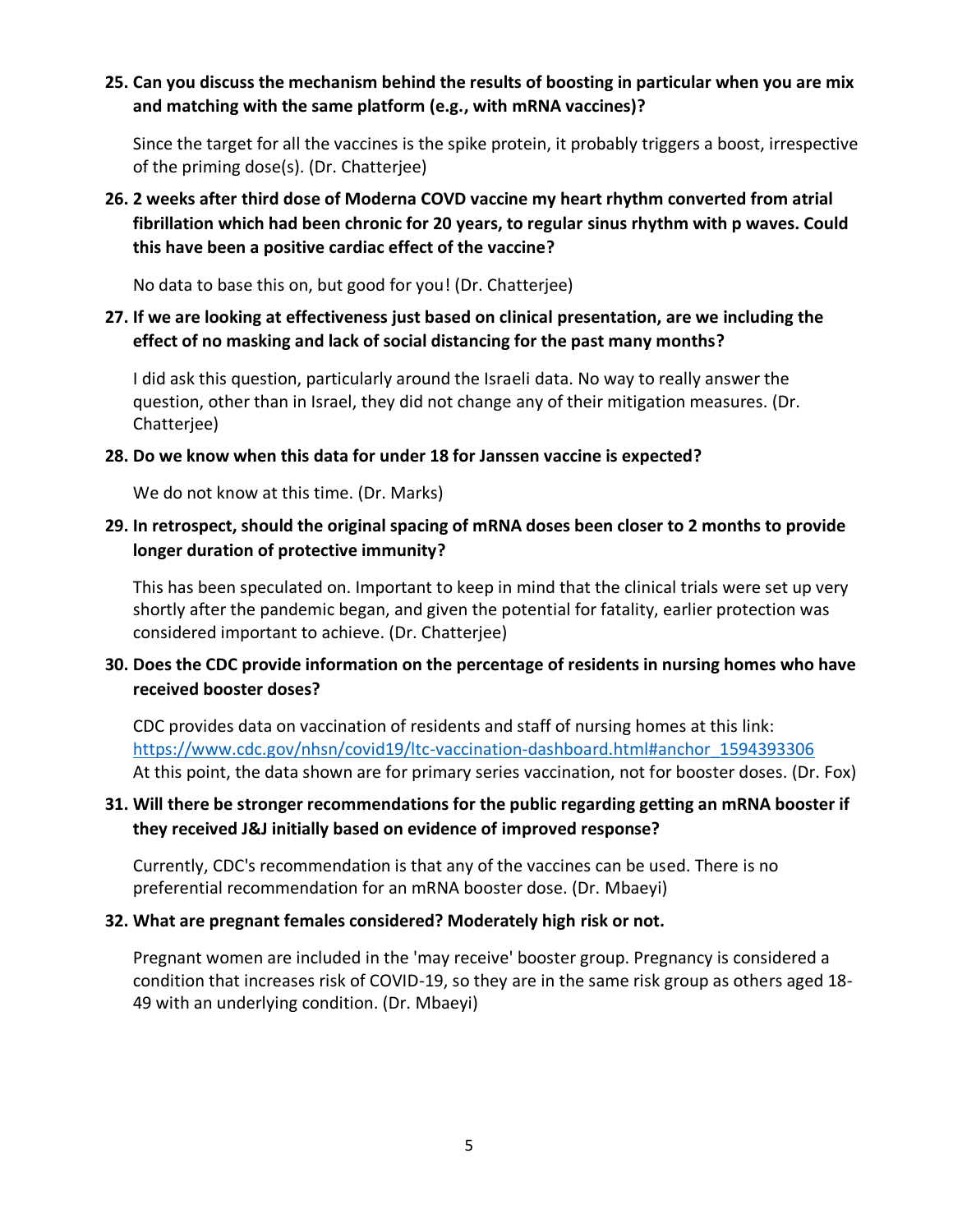#### **25. Can you discuss the mechanism behind the results of boosting in particular when you are mix and matching with the same platform (e.g., with mRNA vaccines)?**

Since the target for all the vaccines is the spike protein, it probably triggers a boost, irrespective of the priming dose(s). (Dr. Chatterjee)

# **26. 2 weeks after third dose of Moderna COVD vaccine my heart rhythm converted from atrial fibrillation which had been chronic for 20 years, to regular sinus rhythm with p waves. Could this have been a positive cardiac effect of the vaccine?**

No data to base this on, but good for you! (Dr. Chatterjee)

# **27. If we are looking at effectiveness just based on clinical presentation, are we including the effect of no masking and lack of social distancing for the past many months?**

I did ask this question, particularly around the Israeli data. No way to really answer the question, other than in Israel, they did not change any of their mitigation measures. (Dr. Chatterjee)

# **28. Do we know when this data for under 18 for Janssen vaccine is expected?**

We do not know at this time. (Dr. Marks)

# **29. In retrospect, should the original spacing of mRNA doses been closer to 2 months to provide longer duration of protective immunity?**

This has been speculated on. Important to keep in mind that the clinical trials were set up very shortly after the pandemic began, and given the potential for fatality, earlier protection was considered important to achieve. (Dr. Chatterjee)

# **30. Does the CDC provide information on the percentage of residents in nursing homes who have received booster doses?**

CDC provides data on vaccination of residents and staff of nursing homes at this link: [https://www.cdc.gov/nhsn/covid19/ltc-vaccination-dashboard.html#anchor\\_1594393306](https://www.cdc.gov/nhsn/covid19/ltc-vaccination-dashboard.html#anchor_1594393306) At this point, the data shown are for primary series vaccination, not for booster doses. (Dr. Fox)

# **31. Will there be stronger recommendations for the public regarding getting an mRNA booster if they received J&J initially based on evidence of improved response?**

Currently, CDC's recommendation is that any of the vaccines can be used. There is no preferential recommendation for an mRNA booster dose. (Dr. Mbaeyi)

#### **32. What are pregnant females considered? Moderately high risk or not.**

Pregnant women are included in the 'may receive' booster group. Pregnancy is considered a condition that increases risk of COVID-19, so they are in the same risk group as others aged 18- 49 with an underlying condition. (Dr. Mbaeyi)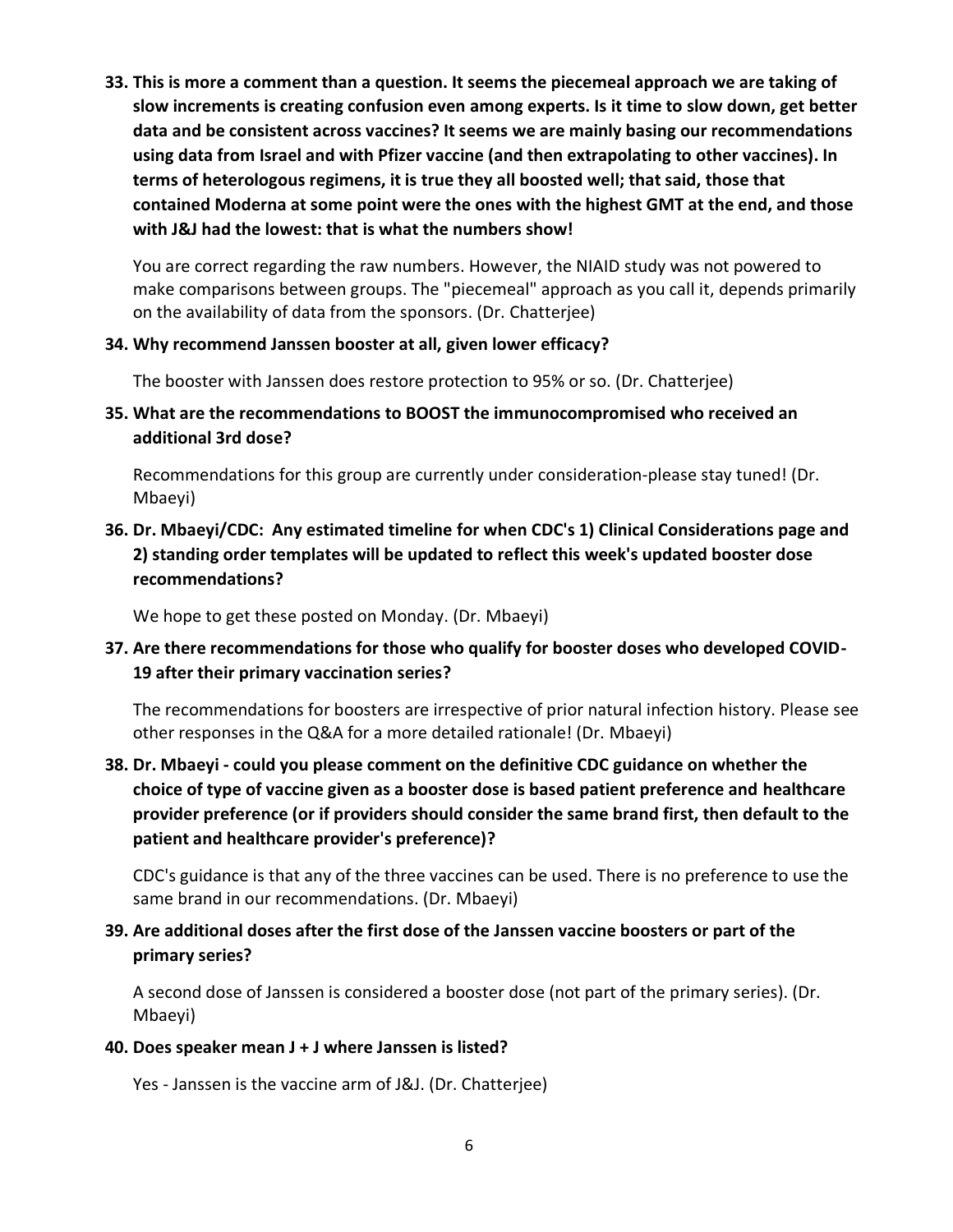**33. This is more a comment than a question. It seems the piecemeal approach we are taking of slow increments is creating confusion even among experts. Is it time to slow down, get better data and be consistent across vaccines? It seems we are mainly basing our recommendations using data from Israel and with Pfizer vaccine (and then extrapolating to other vaccines). In terms of heterologous regimens, it is true they all boosted well; that said, those that contained Moderna at some point were the ones with the highest GMT at the end, and those with J&J had the lowest: that is what the numbers show!**

You are correct regarding the raw numbers. However, the NIAID study was not powered to make comparisons between groups. The "piecemeal" approach as you call it, depends primarily on the availability of data from the sponsors. (Dr. Chatterjee)

#### **34. Why recommend Janssen booster at all, given lower efficacy?**

The booster with Janssen does restore protection to 95% or so. (Dr. Chatterjee)

**35. What are the recommendations to BOOST the immunocompromised who received an additional 3rd dose?**

Recommendations for this group are currently under consideration-please stay tuned! (Dr. Mbaeyi)

**36. Dr. Mbaeyi/CDC: Any estimated timeline for when CDC's 1) Clinical Considerations page and 2) standing order templates will be updated to reflect this week's updated booster dose recommendations?**

We hope to get these posted on Monday. (Dr. Mbaeyi)

**37. Are there recommendations for those who qualify for booster doses who developed COVID-19 after their primary vaccination series?**

The recommendations for boosters are irrespective of prior natural infection history. Please see other responses in the Q&A for a more detailed rationale! (Dr. Mbaeyi)

**38. Dr. Mbaeyi - could you please comment on the definitive CDC guidance on whether the choice of type of vaccine given as a booster dose is based patient preference and healthcare provider preference (or if providers should consider the same brand first, then default to the patient and healthcare provider's preference)?**

CDC's guidance is that any of the three vaccines can be used. There is no preference to use the same brand in our recommendations. (Dr. Mbaeyi)

## **39. Are additional doses after the first dose of the Janssen vaccine boosters or part of the primary series?**

A second dose of Janssen is considered a booster dose (not part of the primary series). (Dr. Mbaeyi)

#### **40. Does speaker mean J + J where Janssen is listed?**

Yes - Janssen is the vaccine arm of J&J. (Dr. Chatterjee)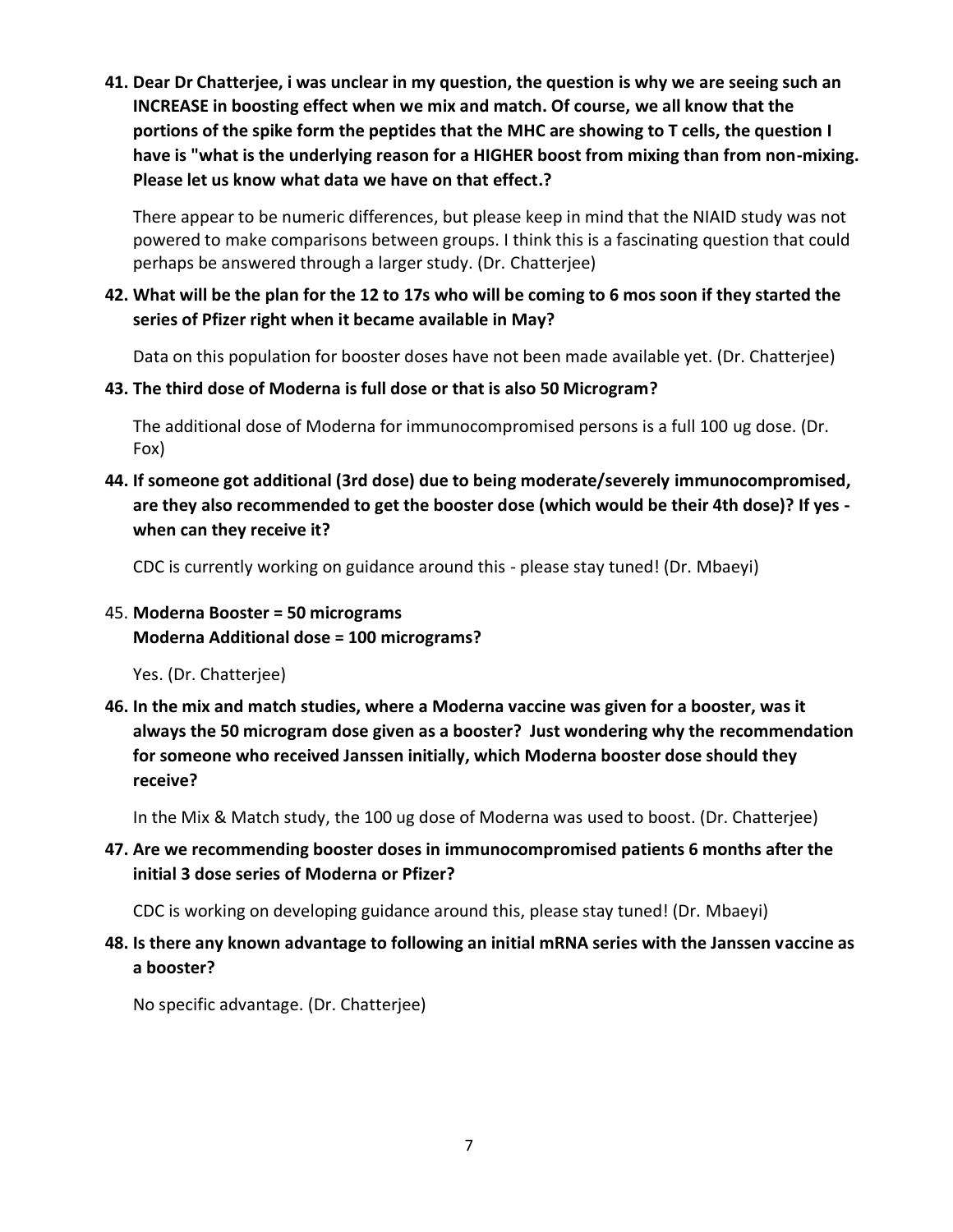**41. Dear Dr Chatterjee, i was unclear in my question, the question is why we are seeing such an INCREASE in boosting effect when we mix and match. Of course, we all know that the portions of the spike form the peptides that the MHC are showing to T cells, the question I have is "what is the underlying reason for a HIGHER boost from mixing than from non-mixing. Please let us know what data we have on that effect.?**

There appear to be numeric differences, but please keep in mind that the NIAID study was not powered to make comparisons between groups. I think this is a fascinating question that could perhaps be answered through a larger study. (Dr. Chatterjee)

#### **42. What will be the plan for the 12 to 17s who will be coming to 6 mos soon if they started the series of Pfizer right when it became available in May?**

Data on this population for booster doses have not been made available yet. (Dr. Chatterjee)

**43. The third dose of Moderna is full dose or that is also 50 Microgram?**

The additional dose of Moderna for immunocompromised persons is a full 100 ug dose. (Dr. Fox)

# **44. If someone got additional (3rd dose) due to being moderate/severely immunocompromised, are they also recommended to get the booster dose (which would be their 4th dose)? If yes when can they receive it?**

CDC is currently working on guidance around this - please stay tuned! (Dr. Mbaeyi)

# 45. **Moderna Booster = 50 micrograms Moderna Additional dose = 100 micrograms?**

Yes. (Dr. Chatterjee)

**46. In the mix and match studies, where a Moderna vaccine was given for a booster, was it always the 50 microgram dose given as a booster? Just wondering why the recommendation for someone who received Janssen initially, which Moderna booster dose should they receive?**

In the Mix & Match study, the 100 ug dose of Moderna was used to boost. (Dr. Chatterjee)

**47. Are we recommending booster doses in immunocompromised patients 6 months after the initial 3 dose series of Moderna or Pfizer?**

CDC is working on developing guidance around this, please stay tuned! (Dr. Mbaeyi)

**48. Is there any known advantage to following an initial mRNA series with the Janssen vaccine as a booster?**

No specific advantage. (Dr. Chatterjee)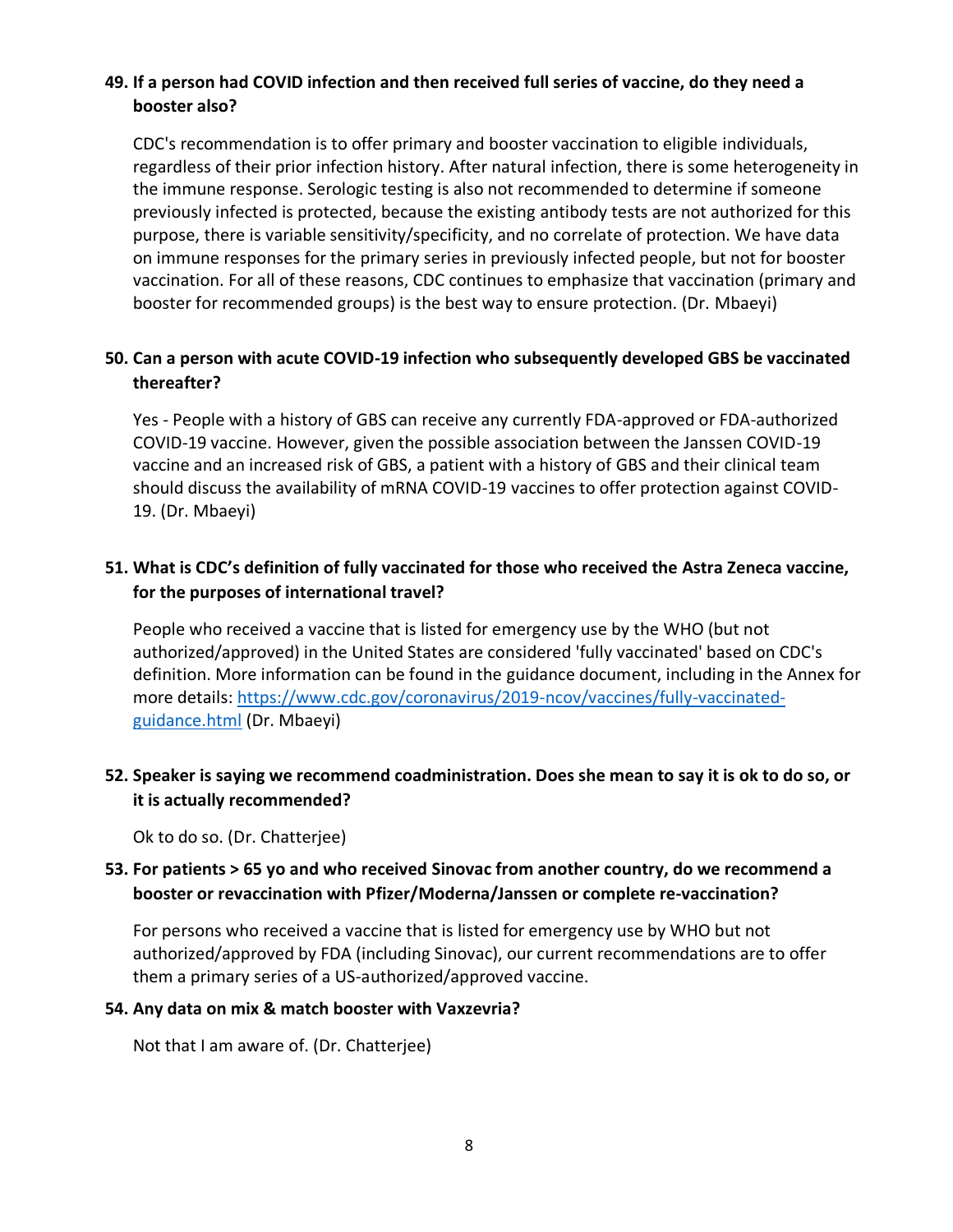## **49. If a person had COVID infection and then received full series of vaccine, do they need a booster also?**

CDC's recommendation is to offer primary and booster vaccination to eligible individuals, regardless of their prior infection history. After natural infection, there is some heterogeneity in the immune response. Serologic testing is also not recommended to determine if someone previously infected is protected, because the existing antibody tests are not authorized for this purpose, there is variable sensitivity/specificity, and no correlate of protection. We have data on immune responses for the primary series in previously infected people, but not for booster vaccination. For all of these reasons, CDC continues to emphasize that vaccination (primary and booster for recommended groups) is the best way to ensure protection. (Dr. Mbaeyi)

## **50. Can a person with acute COVID-19 infection who subsequently developed GBS be vaccinated thereafter?**

Yes - People with a history of GBS can receive any currently FDA-approved or FDA-authorized COVID-19 vaccine. However, given the possible association between the Janssen COVID-19 vaccine and an increased risk of GBS, a patient with a history of GBS and their clinical team should discuss the availability of mRNA COVID-19 vaccines to offer protection against COVID-19. (Dr. Mbaeyi)

# **51. What is CDC's definition of fully vaccinated for those who received the Astra Zeneca vaccine, for the purposes of international travel?**

People who received a vaccine that is listed for emergency use by the WHO (but not authorized/approved) in the United States are considered 'fully vaccinated' based on CDC's definition. More information can be found in the guidance document, including in the Annex for more details: [https://www.cdc.gov/coronavirus/2019-ncov/vaccines/fully-vaccinated](https://www.cdc.gov/coronavirus/2019-ncov/vaccines/fully-vaccinated-guidance.html)[guidance.html](https://www.cdc.gov/coronavirus/2019-ncov/vaccines/fully-vaccinated-guidance.html) (Dr. Mbaeyi)

## **52. Speaker is saying we recommend coadministration. Does she mean to say it is ok to do so, or it is actually recommended?**

Ok to do so. (Dr. Chatterjee)

## **53. For patients > 65 yo and who received Sinovac from another country, do we recommend a booster or revaccination with Pfizer/Moderna/Janssen or complete re-vaccination?**

For persons who received a vaccine that is listed for emergency use by WHO but not authorized/approved by FDA (including Sinovac), our current recommendations are to offer them a primary series of a US-authorized/approved vaccine.

#### **54. Any data on mix & match booster with Vaxzevria?**

Not that I am aware of. (Dr. Chatterjee)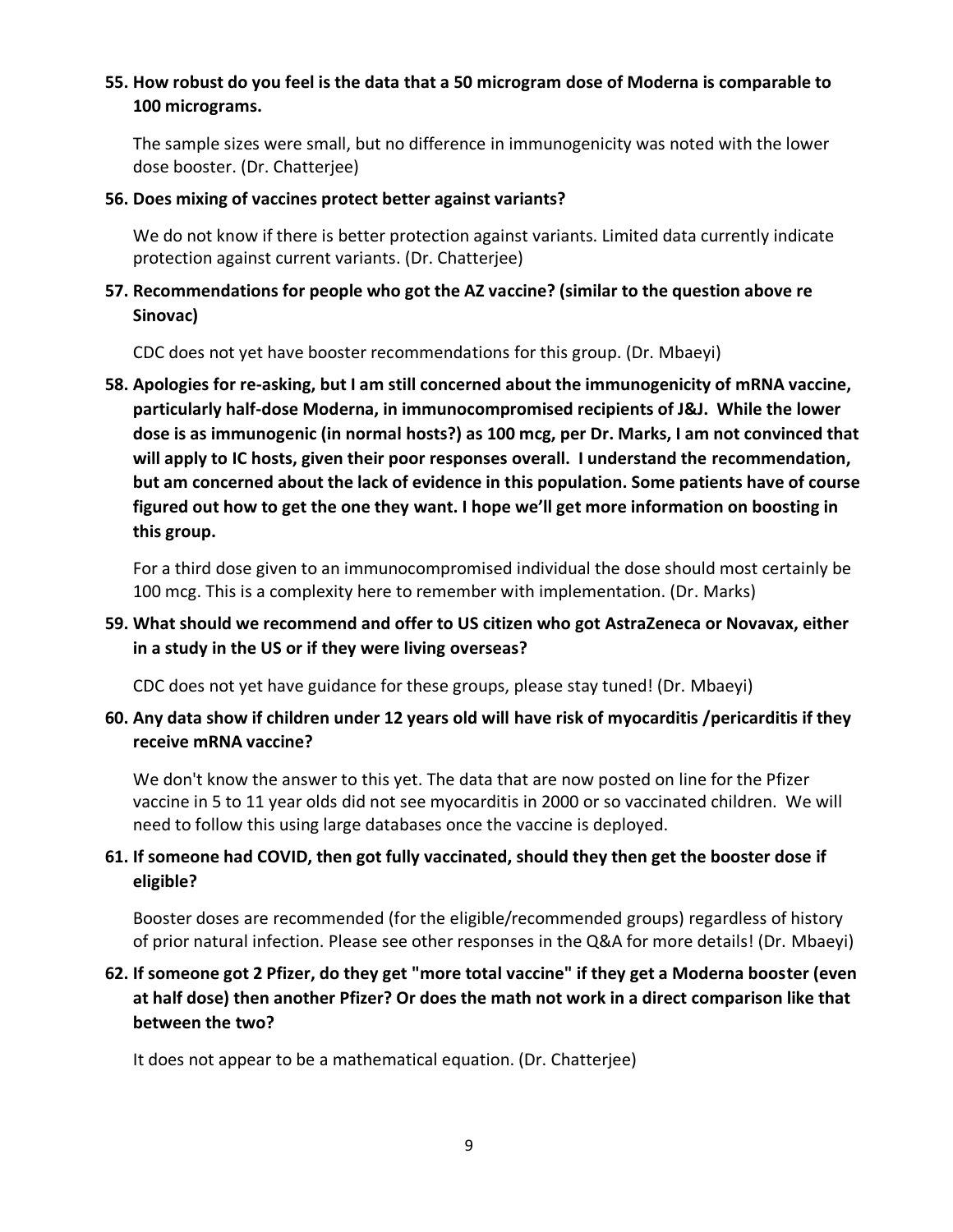### **55. How robust do you feel is the data that a 50 microgram dose of Moderna is comparable to 100 micrograms.**

The sample sizes were small, but no difference in immunogenicity was noted with the lower dose booster. (Dr. Chatterjee)

#### **56. Does mixing of vaccines protect better against variants?**

We do not know if there is better protection against variants. Limited data currently indicate protection against current variants. (Dr. Chatterjee)

## **57. Recommendations for people who got the AZ vaccine? (similar to the question above re Sinovac)**

CDC does not yet have booster recommendations for this group. (Dr. Mbaeyi)

**58. Apologies for re-asking, but I am still concerned about the immunogenicity of mRNA vaccine, particularly half-dose Moderna, in immunocompromised recipients of J&J. While the lower dose is as immunogenic (in normal hosts?) as 100 mcg, per Dr. Marks, I am not convinced that will apply to IC hosts, given their poor responses overall. I understand the recommendation, but am concerned about the lack of evidence in this population. Some patients have of course figured out how to get the one they want. I hope we'll get more information on boosting in this group.**

For a third dose given to an immunocompromised individual the dose should most certainly be 100 mcg. This is a complexity here to remember with implementation. (Dr. Marks)

# **59. What should we recommend and offer to US citizen who got AstraZeneca or Novavax, either in a study in the US or if they were living overseas?**

CDC does not yet have guidance for these groups, please stay tuned! (Dr. Mbaeyi)

# **60. Any data show if children under 12 years old will have risk of myocarditis /pericarditis if they receive mRNA vaccine?**

We don't know the answer to this yet. The data that are now posted on line for the Pfizer vaccine in 5 to 11 year olds did not see myocarditis in 2000 or so vaccinated children. We will need to follow this using large databases once the vaccine is deployed.

# **61. If someone had COVID, then got fully vaccinated, should they then get the booster dose if eligible?**

Booster doses are recommended (for the eligible/recommended groups) regardless of history of prior natural infection. Please see other responses in the Q&A for more details! (Dr. Mbaeyi)

# **62. If someone got 2 Pfizer, do they get "more total vaccine" if they get a Moderna booster (even at half dose) then another Pfizer? Or does the math not work in a direct comparison like that between the two?**

It does not appear to be a mathematical equation. (Dr. Chatterjee)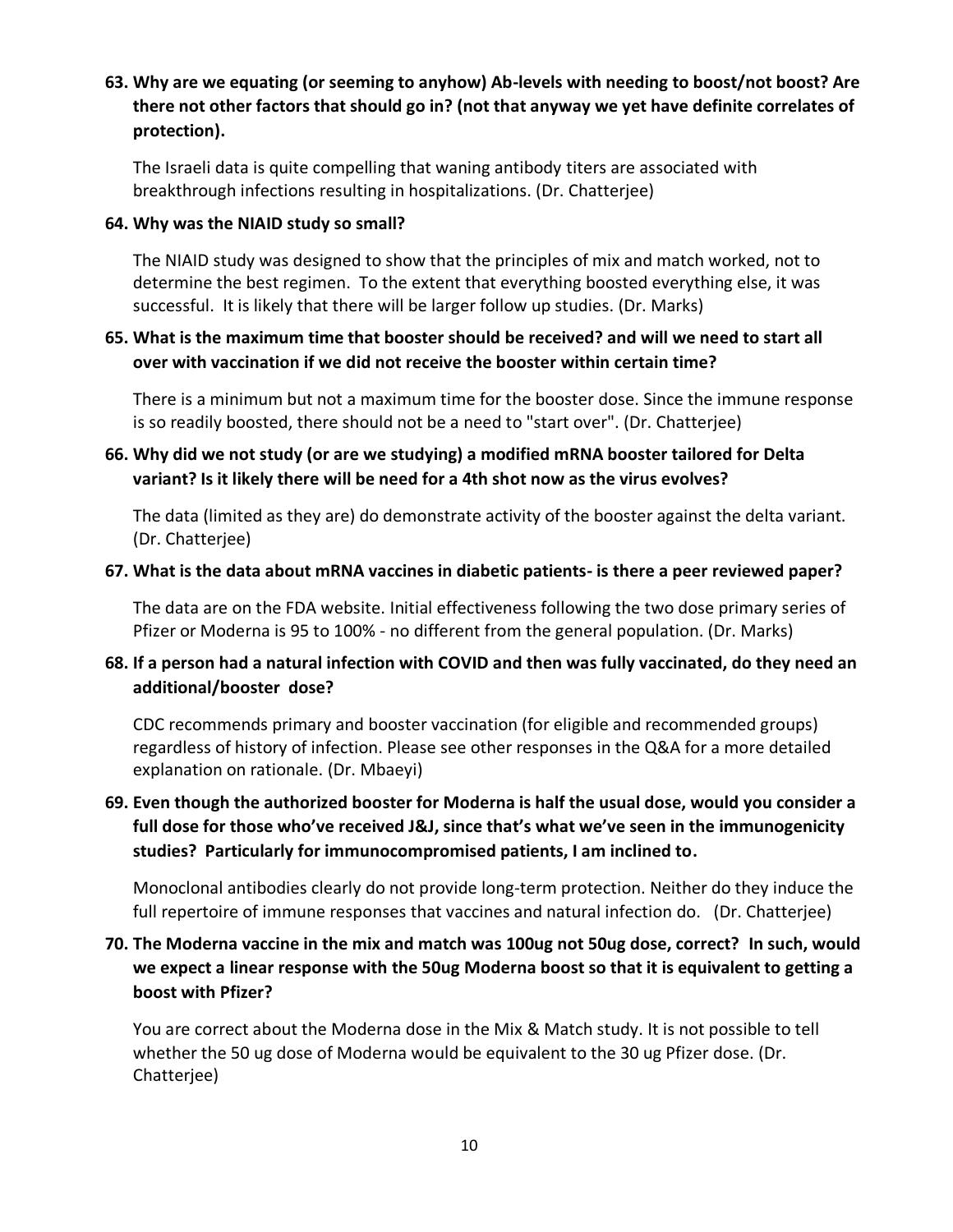**63. Why are we equating (or seeming to anyhow) Ab-levels with needing to boost/not boost? Are there not other factors that should go in? (not that anyway we yet have definite correlates of protection).** 

The Israeli data is quite compelling that waning antibody titers are associated with breakthrough infections resulting in hospitalizations. (Dr. Chatterjee)

#### **64. Why was the NIAID study so small?**

The NIAID study was designed to show that the principles of mix and match worked, not to determine the best regimen. To the extent that everything boosted everything else, it was successful. It is likely that there will be larger follow up studies. (Dr. Marks)

#### **65. What is the maximum time that booster should be received? and will we need to start all over with vaccination if we did not receive the booster within certain time?**

There is a minimum but not a maximum time for the booster dose. Since the immune response is so readily boosted, there should not be a need to "start over". (Dr. Chatterjee)

## **66. Why did we not study (or are we studying) a modified mRNA booster tailored for Delta variant? Is it likely there will be need for a 4th shot now as the virus evolves?**

The data (limited as they are) do demonstrate activity of the booster against the delta variant. (Dr. Chatterjee)

#### **67. What is the data about mRNA vaccines in diabetic patients- is there a peer reviewed paper?**

The data are on the FDA website. Initial effectiveness following the two dose primary series of Pfizer or Moderna is 95 to 100% - no different from the general population. (Dr. Marks)

## **68. If a person had a natural infection with COVID and then was fully vaccinated, do they need an additional/booster dose?**

CDC recommends primary and booster vaccination (for eligible and recommended groups) regardless of history of infection. Please see other responses in the Q&A for a more detailed explanation on rationale. (Dr. Mbaeyi)

# **69. Even though the authorized booster for Moderna is half the usual dose, would you consider a full dose for those who've received J&J, since that's what we've seen in the immunogenicity studies? Particularly for immunocompromised patients, I am inclined to.**

Monoclonal antibodies clearly do not provide long-term protection. Neither do they induce the full repertoire of immune responses that vaccines and natural infection do. (Dr. Chatterjee)

# **70. The Moderna vaccine in the mix and match was 100ug not 50ug dose, correct? In such, would we expect a linear response with the 50ug Moderna boost so that it is equivalent to getting a boost with Pfizer?**

You are correct about the Moderna dose in the Mix & Match study. It is not possible to tell whether the 50 ug dose of Moderna would be equivalent to the 30 ug Pfizer dose. (Dr. Chatterjee)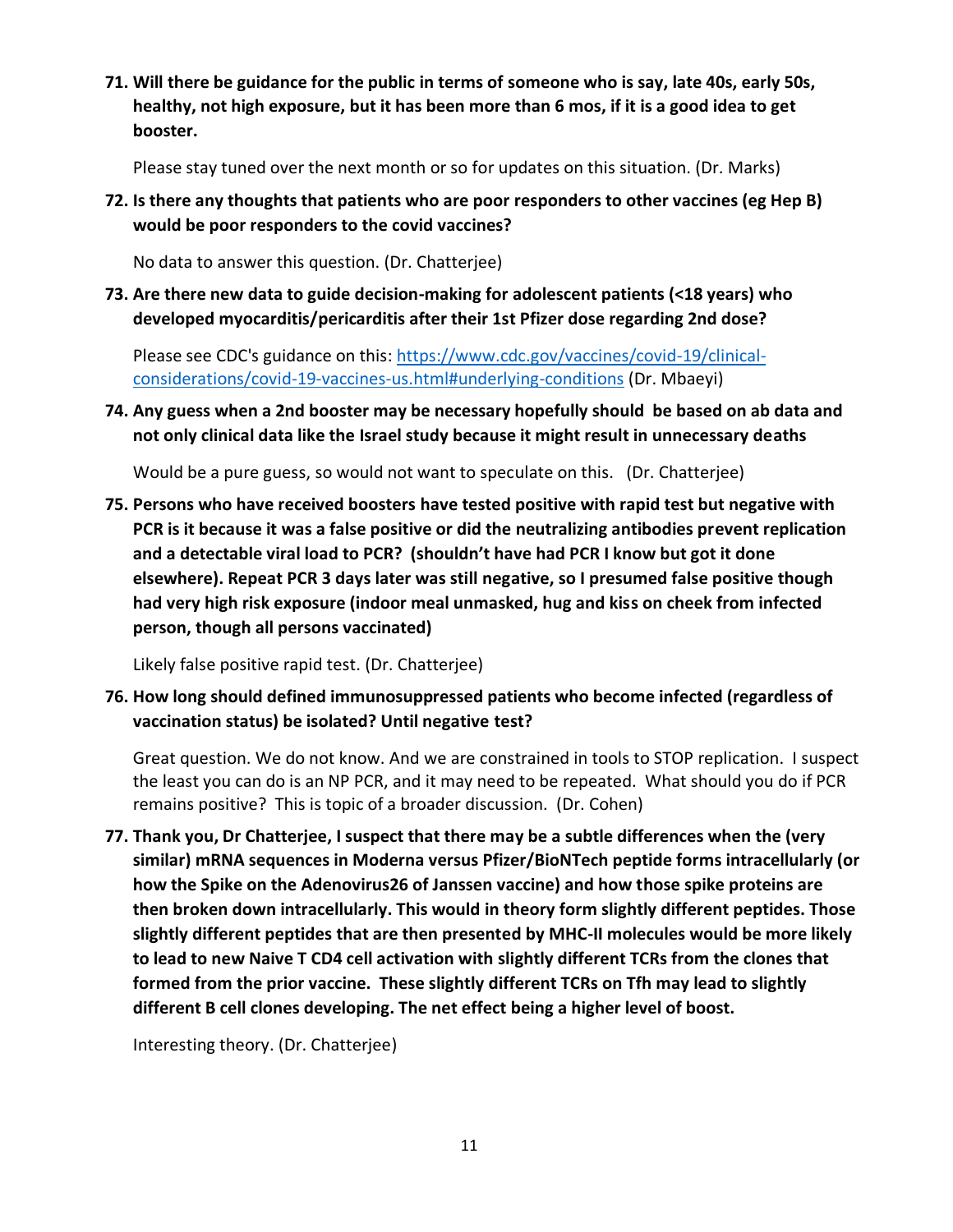**71. Will there be guidance for the public in terms of someone who is say, late 40s, early 50s, healthy, not high exposure, but it has been more than 6 mos, if it is a good idea to get booster.**

Please stay tuned over the next month or so for updates on this situation. (Dr. Marks)

**72. Is there any thoughts that patients who are poor responders to other vaccines (eg Hep B) would be poor responders to the covid vaccines?**

No data to answer this question. (Dr. Chatterjee)

**73. Are there new data to guide decision-making for adolescent patients (<18 years) who developed myocarditis/pericarditis after their 1st Pfizer dose regarding 2nd dose?**

Please see CDC's guidance on this: [https://www.cdc.gov/vaccines/covid-19/clinical](https://www.cdc.gov/vaccines/covid-19/clinical-considerations/covid-19-vaccines-us.html#underlying-conditions)[considerations/covid-19-vaccines-us.html#underlying-conditions](https://www.cdc.gov/vaccines/covid-19/clinical-considerations/covid-19-vaccines-us.html#underlying-conditions) (Dr. Mbaeyi)

**74. Any guess when a 2nd booster may be necessary hopefully should be based on ab data and not only clinical data like the Israel study because it might result in unnecessary deaths**

Would be a pure guess, so would not want to speculate on this. (Dr. Chatterjee)

**75. Persons who have received boosters have tested positive with rapid test but negative with PCR is it because it was a false positive or did the neutralizing antibodies prevent replication and a detectable viral load to PCR? (shouldn't have had PCR I know but got it done elsewhere). Repeat PCR 3 days later was still negative, so I presumed false positive though had very high risk exposure (indoor meal unmasked, hug and kiss on cheek from infected person, though all persons vaccinated)**

Likely false positive rapid test. (Dr. Chatterjee)

**76. How long should defined immunosuppressed patients who become infected (regardless of vaccination status) be isolated? Until negative test?**

Great question. We do not know. And we are constrained in tools to STOP replication. I suspect the least you can do is an NP PCR, and it may need to be repeated. What should you do if PCR remains positive? This is topic of a broader discussion. (Dr. Cohen)

**77. Thank you, Dr Chatterjee, I suspect that there may be a subtle differences when the (very similar) mRNA sequences in Moderna versus Pfizer/BioNTech peptide forms intracellularly (or how the Spike on the Adenovirus26 of Janssen vaccine) and how those spike proteins are then broken down intracellularly. This would in theory form slightly different peptides. Those slightly different peptides that are then presented by MHC-II molecules would be more likely to lead to new Naive T CD4 cell activation with slightly different TCRs from the clones that formed from the prior vaccine. These slightly different TCRs on Tfh may lead to slightly different B cell clones developing. The net effect being a higher level of boost.**

Interesting theory. (Dr. Chatterjee)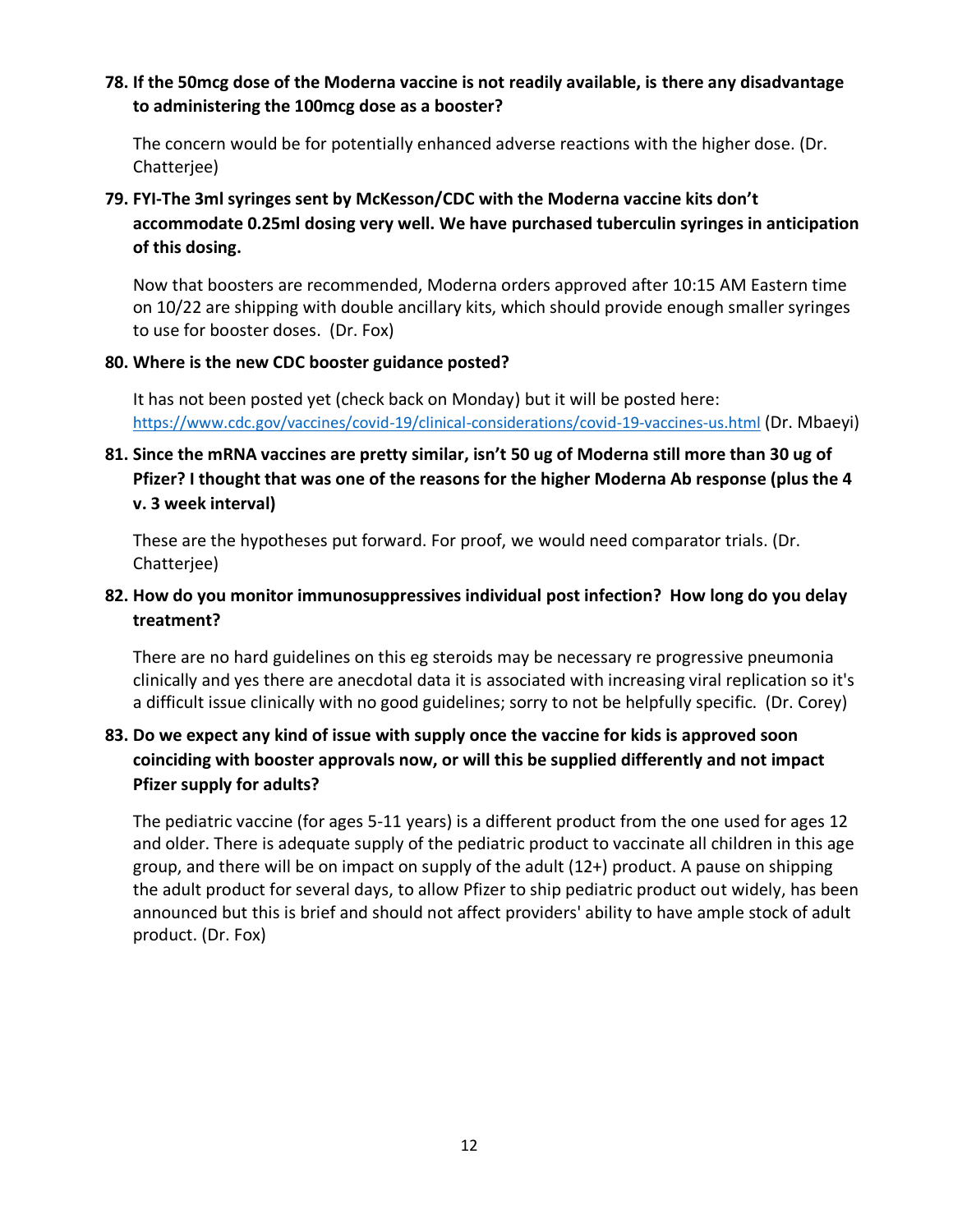#### **78. If the 50mcg dose of the Moderna vaccine is not readily available, is there any disadvantage to administering the 100mcg dose as a booster?**

The concern would be for potentially enhanced adverse reactions with the higher dose. (Dr. Chatterjee)

# **79. FYI-The 3ml syringes sent by McKesson/CDC with the Moderna vaccine kits don't accommodate 0.25ml dosing very well. We have purchased tuberculin syringes in anticipation of this dosing.**

Now that boosters are recommended, Moderna orders approved after 10:15 AM Eastern time on 10/22 are shipping with double ancillary kits, which should provide enough smaller syringes to use for booster doses. (Dr. Fox)

#### **80. Where is the new CDC booster guidance posted?**

It has not been posted yet (check back on Monday) but it will be posted here: <https://www.cdc.gov/vaccines/covid-19/clinical-considerations/covid-19-vaccines-us.html> (Dr. Mbaeyi)

# **81. Since the mRNA vaccines are pretty similar, isn't 50 ug of Moderna still more than 30 ug of Pfizer? I thought that was one of the reasons for the higher Moderna Ab response (plus the 4 v. 3 week interval)**

These are the hypotheses put forward. For proof, we would need comparator trials. (Dr. Chatterjee)

# **82. How do you monitor immunosuppressives individual post infection? How long do you delay treatment?**

There are no hard guidelines on this eg steroids may be necessary re progressive pneumonia clinically and yes there are anecdotal data it is associated with increasing viral replication so it's a difficult issue clinically with no good guidelines; sorry to not be helpfully specific. (Dr. Corey)

# **83. Do we expect any kind of issue with supply once the vaccine for kids is approved soon coinciding with booster approvals now, or will this be supplied differently and not impact Pfizer supply for adults?**

The pediatric vaccine (for ages 5-11 years) is a different product from the one used for ages 12 and older. There is adequate supply of the pediatric product to vaccinate all children in this age group, and there will be on impact on supply of the adult (12+) product. A pause on shipping the adult product for several days, to allow Pfizer to ship pediatric product out widely, has been announced but this is brief and should not affect providers' ability to have ample stock of adult product. (Dr. Fox)